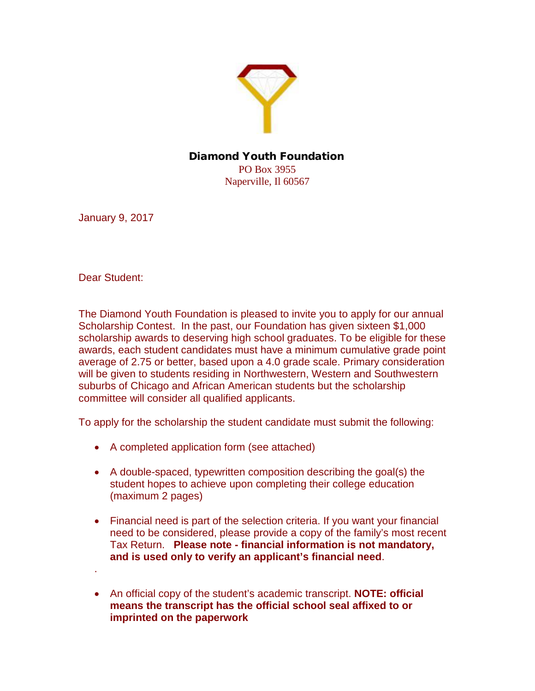

## Diamond Youth Foundation

PO Box 3955 Naperville, Il 60567

January 9, 2017

Dear Student:

.

The Diamond Youth Foundation is pleased to invite you to apply for our annual Scholarship Contest. In the past, our Foundation has given sixteen \$1,000 scholarship awards to deserving high school graduates. To be eligible for these awards, each student candidates must have a minimum cumulative grade point average of 2.75 or better, based upon a 4.0 grade scale. Primary consideration will be given to students residing in Northwestern, Western and Southwestern suburbs of Chicago and African American students but the scholarship committee will consider all qualified applicants.

To apply for the scholarship the student candidate must submit the following:

- A completed application form (see attached)
- A double-spaced, typewritten composition describing the goal(s) the student hopes to achieve upon completing their college education (maximum 2 pages)
- Financial need is part of the selection criteria. If you want your financial need to be considered, please provide a copy of the family's most recent Tax Return. **Please note - financial information is not mandatory, and is used only to verify an applicant's financial need**.
- An official copy of the student's academic transcript. **NOTE: official means the transcript has the official school seal affixed to or imprinted on the paperwork**